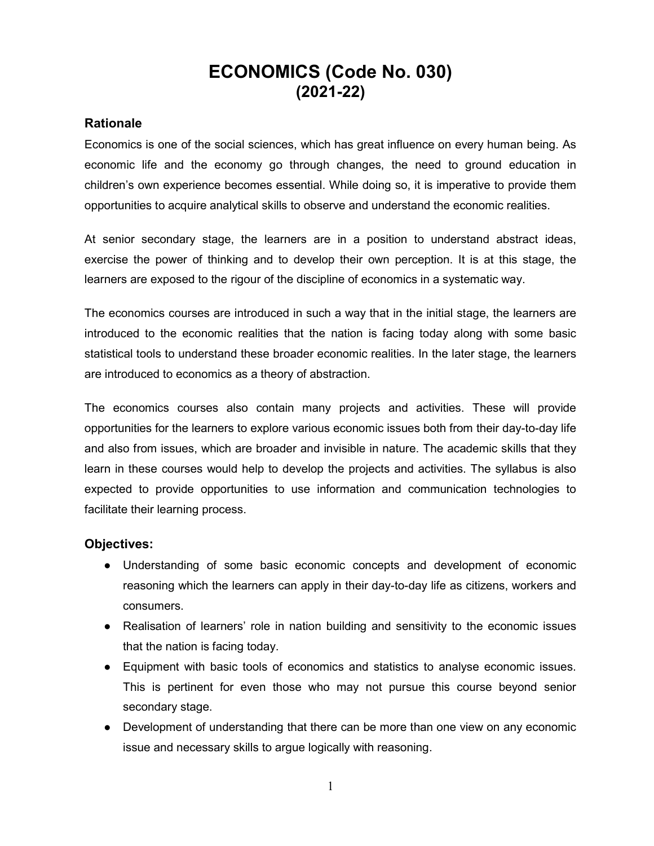## ECONOMICS (Code No. 030) (2021-22)

### Rationale

Economics is one of the social sciences, which has great influence on every human being. As economic life and the economy go through changes, the need to ground education in children's own experience becomes essential. While doing so, it is imperative to provide them opportunities to acquire analytical skills to observe and understand the economic realities.

At senior secondary stage, the learners are in a position to understand abstract ideas, exercise the power of thinking and to develop their own perception. It is at this stage, the learners are exposed to the rigour of the discipline of economics in a systematic way.

The economics courses are introduced in such a way that in the initial stage, the learners are introduced to the economic realities that the nation is facing today along with some basic statistical tools to understand these broader economic realities. In the later stage, the learners are introduced to economics as a theory of abstraction.

The economics courses also contain many projects and activities. These will provide opportunities for the learners to explore various economic issues both from their day-to-day life and also from issues, which are broader and invisible in nature. The academic skills that they learn in these courses would help to develop the projects and activities. The syllabus is also expected to provide opportunities to use information and communication technologies to facilitate their learning process.

## Objectives:

- Understanding of some basic economic concepts and development of economic reasoning which the learners can apply in their day-to-day life as citizens, workers and consumers.
- Realisation of learners' role in nation building and sensitivity to the economic issues that the nation is facing today.
- Equipment with basic tools of economics and statistics to analyse economic issues. This is pertinent for even those who may not pursue this course beyond senior secondary stage.
- Development of understanding that there can be more than one view on any economic issue and necessary skills to argue logically with reasoning.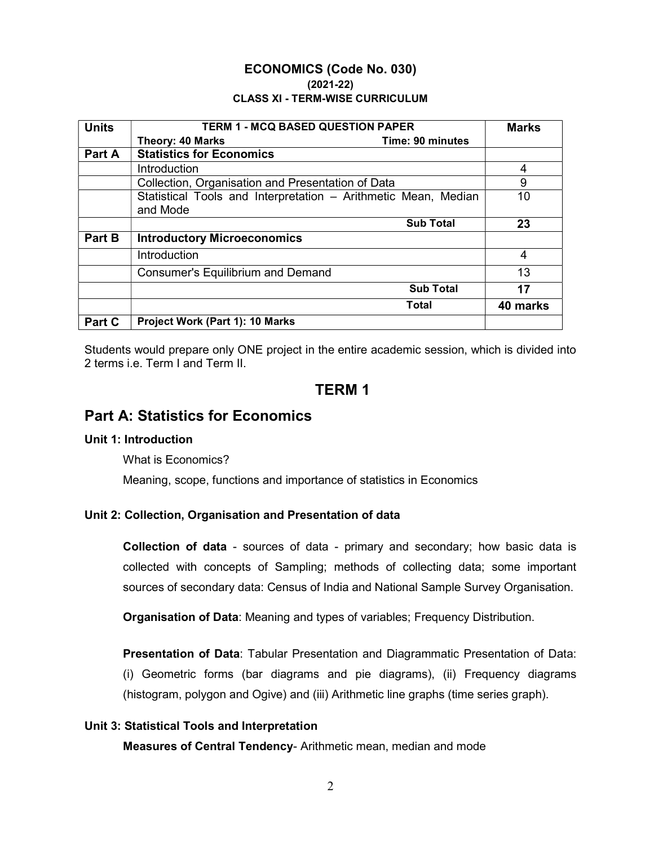#### ECONOMICS (Code No. 030) (2021-22) CLASS XI - TERM-WISE CURRICULUM

| <b>Units</b> | <b>TERM 1 - MCQ BASED QUESTION PAPER</b>                       | <b>Marks</b> |
|--------------|----------------------------------------------------------------|--------------|
|              | <b>Theory: 40 Marks</b><br>Time: 90 minutes                    |              |
| Part A       | <b>Statistics for Economics</b>                                |              |
|              | Introduction                                                   | 4            |
|              | Collection, Organisation and Presentation of Data              | 9            |
|              | Statistical Tools and Interpretation - Arithmetic Mean, Median | 10           |
|              | and Mode                                                       |              |
|              | <b>Sub Total</b>                                               | 23           |
| Part B       | <b>Introductory Microeconomics</b>                             |              |
|              | Introduction                                                   | 4            |
|              | <b>Consumer's Equilibrium and Demand</b>                       | 13           |
|              | <b>Sub Total</b>                                               | 17           |
|              | Total                                                          | 40 marks     |
| Part C       | Project Work (Part 1): 10 Marks                                |              |

Students would prepare only ONE project in the entire academic session, which is divided into 2 terms i.e. Term I and Term II.

## TERM 1

## Part A: Statistics for Economics

#### Unit 1: Introduction

What is Economics?

Meaning, scope, functions and importance of statistics in Economics

#### Unit 2: Collection, Organisation and Presentation of data

Collection of data - sources of data - primary and secondary; how basic data is collected with concepts of Sampling; methods of collecting data; some important sources of secondary data: Census of India and National Sample Survey Organisation.

Organisation of Data: Meaning and types of variables; Frequency Distribution.

Presentation of Data: Tabular Presentation and Diagrammatic Presentation of Data: (i) Geometric forms (bar diagrams and pie diagrams), (ii) Frequency diagrams (histogram, polygon and Ogive) and (iii) Arithmetic line graphs (time series graph).

#### Unit 3: Statistical Tools and Interpretation

Measures of Central Tendency- Arithmetic mean, median and mode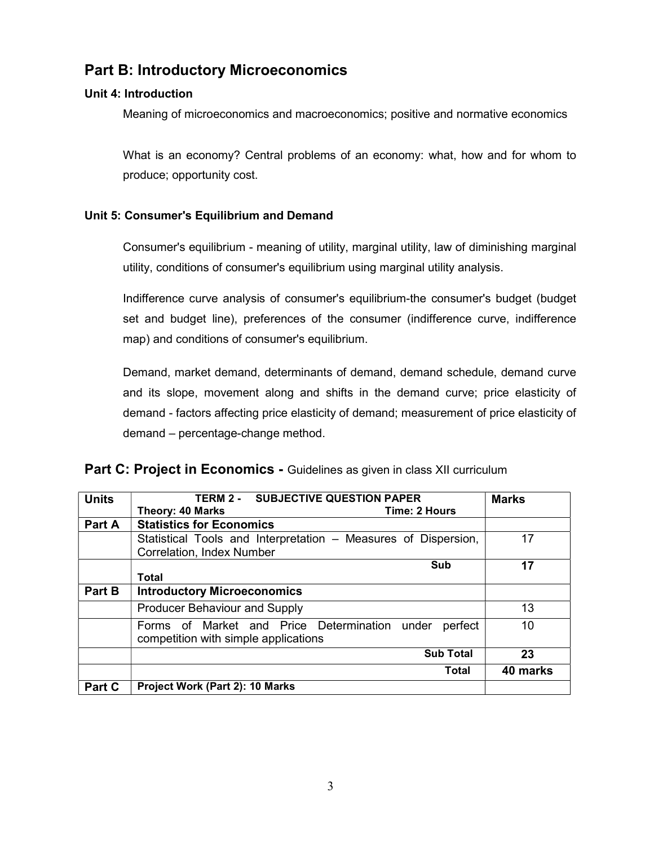## Part B: Introductory Microeconomics

### Unit 4: Introduction

Meaning of microeconomics and macroeconomics; positive and normative economics

What is an economy? Central problems of an economy: what, how and for whom to produce; opportunity cost.

#### Unit 5: Consumer's Equilibrium and Demand

Part C | Project Work (Part 2): 10 Marks

Consumer's equilibrium - meaning of utility, marginal utility, law of diminishing marginal utility, conditions of consumer's equilibrium using marginal utility analysis.

Indifference curve analysis of consumer's equilibrium-the consumer's budget (budget set and budget line), preferences of the consumer (indifference curve, indifference map) and conditions of consumer's equilibrium.

Demand, market demand, determinants of demand, demand schedule, demand curve and its slope, movement along and shifts in the demand curve; price elasticity of demand - factors affecting price elasticity of demand; measurement of price elasticity of demand – percentage-change method.

| <b>Units</b> | <b>TERM 2 - SUBJECTIVE QUESTION PAPER</b>                      | <b>Marks</b> |
|--------------|----------------------------------------------------------------|--------------|
|              | Theory: 40 Marks<br>Time: 2 Hours                              |              |
| Part A       | <b>Statistics for Economics</b>                                |              |
|              | Statistical Tools and Interpretation – Measures of Dispersion, | 17           |
|              | <b>Correlation, Index Number</b>                               |              |
|              | Sub                                                            | 17           |
|              | <b>Total</b>                                                   |              |
| Part B       | <b>Introductory Microeconomics</b>                             |              |
|              | <b>Producer Behaviour and Supply</b>                           | 13           |
|              | Forms of Market and Price Determination<br>perfect<br>under    | 10           |
|              | competition with simple applications                           |              |
|              | <b>Sub Total</b>                                               | 23           |
|              | Total                                                          | 40 marks     |

#### Part C: Project in Economics - Guidelines as given in class XII curriculum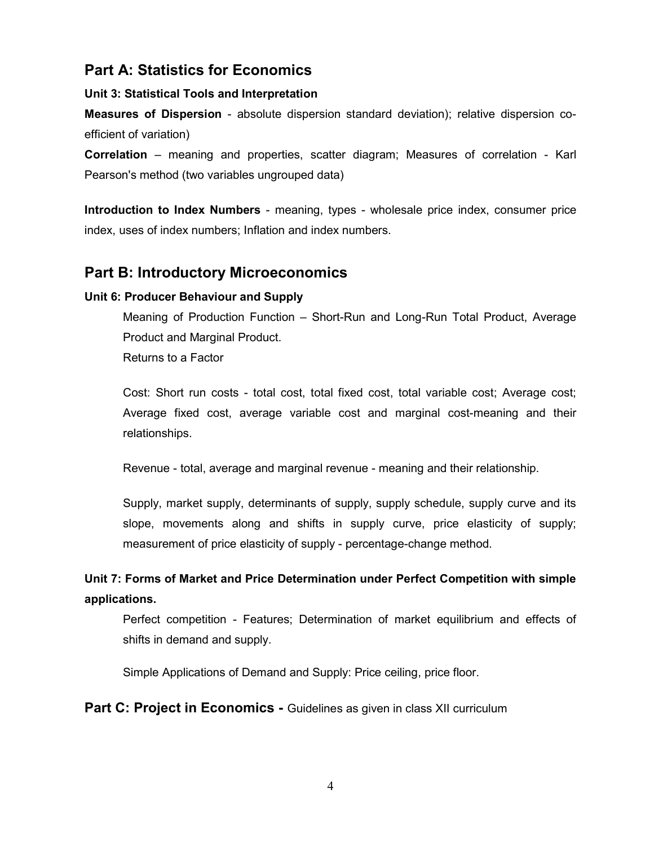## Part A: Statistics for Economics

### Unit 3: Statistical Tools and Interpretation

Measures of Dispersion - absolute dispersion standard deviation); relative dispersion coefficient of variation)

Correlation – meaning and properties, scatter diagram; Measures of correlation - Karl Pearson's method (two variables ungrouped data)

Introduction to Index Numbers - meaning, types - wholesale price index, consumer price index, uses of index numbers; Inflation and index numbers.

## Part B: Introductory Microeconomics

## Unit 6: Producer Behaviour and Supply

Meaning of Production Function – Short-Run and Long-Run Total Product, Average Product and Marginal Product.

Returns to a Factor

Cost: Short run costs - total cost, total fixed cost, total variable cost; Average cost; Average fixed cost, average variable cost and marginal cost-meaning and their relationships.

Revenue - total, average and marginal revenue - meaning and their relationship.

Supply, market supply, determinants of supply, supply schedule, supply curve and its slope, movements along and shifts in supply curve, price elasticity of supply; measurement of price elasticity of supply - percentage-change method.

Unit 7: Forms of Market and Price Determination under Perfect Competition with simple applications.

Perfect competition - Features; Determination of market equilibrium and effects of shifts in demand and supply.

Simple Applications of Demand and Supply: Price ceiling, price floor.

**Part C: Project in Economics - Guidelines as given in class XII curriculum**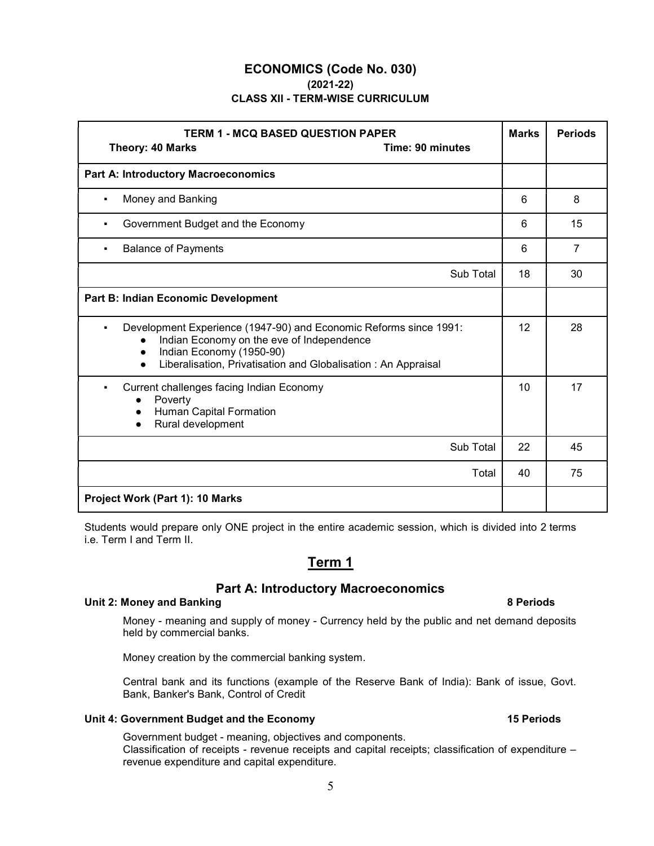### ECONOMICS (Code No. 030) (2021-22) CLASS XII - TERM-WISE CURRICULUM

| <b>TERM 1 - MCQ BASED QUESTION PAPER</b><br><b>Time: 90 minutes</b><br><b>Theory: 40 Marks</b>                                                                                                                                        | <b>Marks</b> | <b>Periods</b> |
|---------------------------------------------------------------------------------------------------------------------------------------------------------------------------------------------------------------------------------------|--------------|----------------|
| <b>Part A: Introductory Macroeconomics</b>                                                                                                                                                                                            |              |                |
| Money and Banking                                                                                                                                                                                                                     | 6            | 8              |
| Government Budget and the Economy                                                                                                                                                                                                     |              | 15             |
| <b>Balance of Payments</b><br>$\blacksquare$                                                                                                                                                                                          | 6            | $\overline{7}$ |
| Sub Total                                                                                                                                                                                                                             | 18           | 30             |
| Part B: Indian Economic Development                                                                                                                                                                                                   |              |                |
| Development Experience (1947-90) and Economic Reforms since 1991:<br>Indian Economy on the eve of Independence<br>Indian Economy (1950-90)<br>$\bullet$<br>Liberalisation, Privatisation and Globalisation: An Appraisal<br>$\bullet$ | 12           | 28             |
| Current challenges facing Indian Economy<br>Poverty<br>$\bullet$<br>Human Capital Formation<br>Rural development                                                                                                                      |              | 17             |
| Sub Total                                                                                                                                                                                                                             | 22           | 45             |
| Total                                                                                                                                                                                                                                 | 40           | 75             |
| Project Work (Part 1): 10 Marks                                                                                                                                                                                                       |              |                |

Students would prepare only ONE project in the entire academic session, which is divided into 2 terms i.e. Term I and Term II.

## Term 1

## Part A: Introductory Macroeconomics

#### Unit 2: Money and Banking 8 Periods 8 Periods 8 Periods 8 Periods 8 Periods 8 Periods 8 Periods 8 Periods 8 Periods 8 Periods 8 Periods 8 Periods 8 Periods 8 Periods 8 Periods 8 Periods 8 Periods 8 Periods 8 Periods 8 Peri

Money - meaning and supply of money - Currency held by the public and net demand deposits held by commercial banks.

Money creation by the commercial banking system.

Central bank and its functions (example of the Reserve Bank of India): Bank of issue, Govt. Bank, Banker's Bank, Control of Credit

#### Unit 4: Government Budget and the Economy 15 Periods 15 Periods

Government budget - meaning, objectives and components. Classification of receipts - revenue receipts and capital receipts; classification of expenditure – revenue expenditure and capital expenditure.

#### 5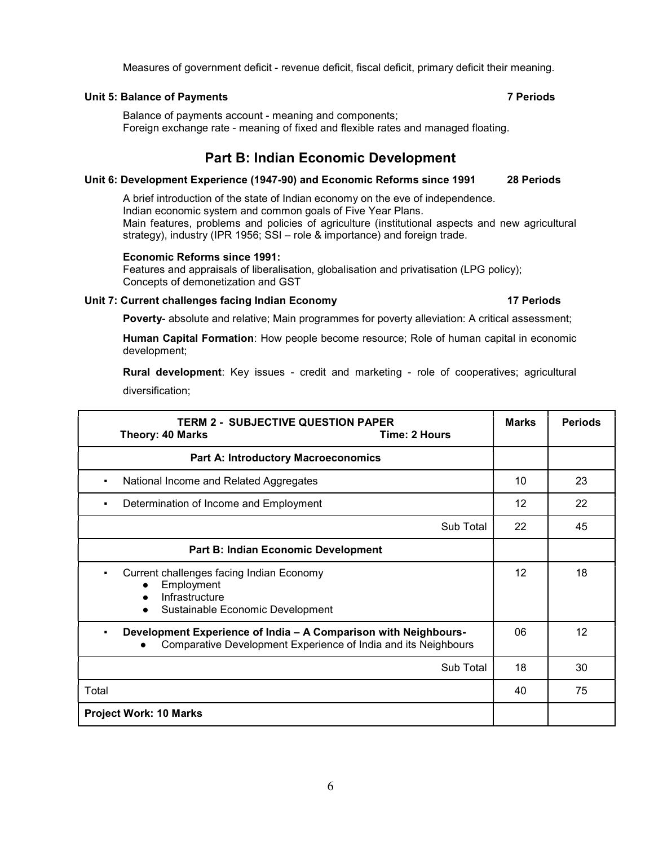#### Unit 5: Balance of Payments **7 Periods** 7 Periods

Balance of payments account - meaning and components; Foreign exchange rate - meaning of fixed and flexible rates and managed floating.

## Part B: Indian Economic Development

#### Unit 6: Development Experience (1947-90) and Economic Reforms since 1991 28 Periods

A brief introduction of the state of Indian economy on the eve of independence. Indian economic system and common goals of Five Year Plans. Main features, problems and policies of agriculture (institutional aspects and new agricultural strategy), industry (IPR 1956; SSI – role & importance) and foreign trade.

#### Economic Reforms since 1991:

Features and appraisals of liberalisation, globalisation and privatisation (LPG policy); Concepts of demonetization and GST

#### Unit 7: Current challenges facing Indian Economy 17 Periods 17 Periods

Poverty- absolute and relative; Main programmes for poverty alleviation: A critical assessment;

Human Capital Formation: How people become resource; Role of human capital in economic development;

Rural development: Key issues - credit and marketing - role of cooperatives; agricultural diversification;

| <b>TERM 2 - SUBJECTIVE QUESTION PAPER</b><br>Time: 2 Hours<br>Theory: 40 Marks                                                                           | <b>Marks</b> | <b>Periods</b> |
|----------------------------------------------------------------------------------------------------------------------------------------------------------|--------------|----------------|
| <b>Part A: Introductory Macroeconomics</b>                                                                                                               |              |                |
| National Income and Related Aggregates<br>$\blacksquare$                                                                                                 | 10           | 23             |
| Determination of Income and Employment<br>$\blacksquare$                                                                                                 |              | 22             |
| Sub Total                                                                                                                                                | 22           | 45             |
| Part B: Indian Economic Development                                                                                                                      |              |                |
| Current challenges facing Indian Economy<br>$\blacksquare$<br>Employment<br>Infrastructure<br>$\bullet$<br>Sustainable Economic Development<br>$\bullet$ | 12           | 18             |
| Development Experience of India - A Comparison with Neighbours-<br>۰.<br>Comparative Development Experience of India and its Neighbours                  |              | 12             |
| Sub Total                                                                                                                                                | 18           | 30             |
| Total                                                                                                                                                    | 40           | 75             |
| <b>Project Work: 10 Marks</b>                                                                                                                            |              |                |

6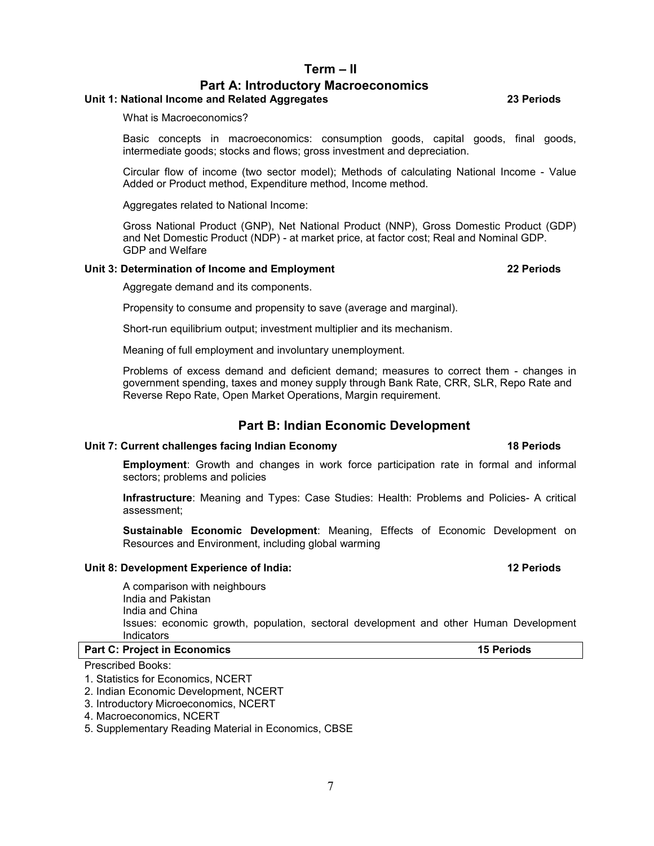#### Term – II

## Part A: Introductory Macroeconomics

#### Unit 1: National Income and Related Aggregates 23 Periods

What is Macroeconomics?

Basic concepts in macroeconomics: consumption goods, capital goods, final goods, intermediate goods; stocks and flows; gross investment and depreciation.

Circular flow of income (two sector model); Methods of calculating National Income - Value Added or Product method, Expenditure method, Income method.

Aggregates related to National Income:

Gross National Product (GNP), Net National Product (NNP), Gross Domestic Product (GDP) and Net Domestic Product (NDP) - at market price, at factor cost; Real and Nominal GDP. GDP and Welfare

#### Unit 3: Determination of Income and Employment 22 Periods 22 Periods

Aggregate demand and its components.

Propensity to consume and propensity to save (average and marginal).

Short-run equilibrium output; investment multiplier and its mechanism.

Meaning of full employment and involuntary unemployment.

Problems of excess demand and deficient demand; measures to correct them - changes in government spending, taxes and money supply through Bank Rate, CRR, SLR, Repo Rate and Reverse Repo Rate, Open Market Operations, Margin requirement.

#### Part B: Indian Economic Development

#### Unit 7: Current challenges facing Indian Economy 18 Periods

Employment: Growth and changes in work force participation rate in formal and informal sectors; problems and policies

Infrastructure: Meaning and Types: Case Studies: Health: Problems and Policies- A critical assessment;

Sustainable Economic Development: Meaning, Effects of Economic Development on Resources and Environment, including global warming

#### Unit 8: Development Experience of India: 12 Periods

A comparison with neighbours India and Pakistan India and China Issues: economic growth, population, sectoral development and other Human Development Indicators

Part C: Project in Economics **15 Periods** 15 Periods

Prescribed Books:

1. Statistics for Economics, NCERT

2. Indian Economic Development, NCERT

- 3. Introductory Microeconomics, NCERT
- 4. Macroeconomics, NCERT

5. Supplementary Reading Material in Economics, CBSE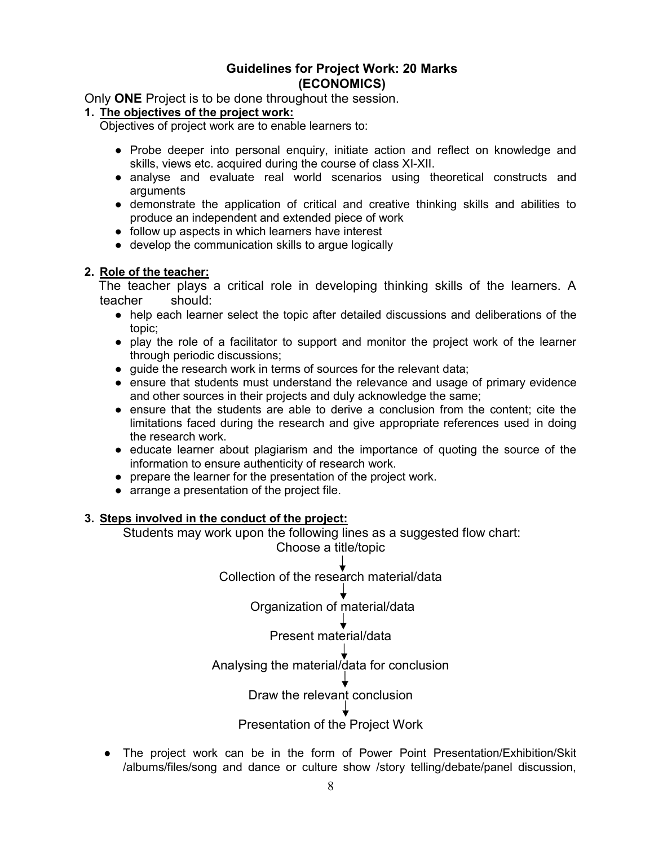# Guidelines for Project Work: 20 Marks Marks(ECONOMICS)

Only ONE Project is to be done throughout the session.

#### 1. The objectives of the project work:

Objectives of project work are to enable learners to:

- Probe deeper into personal enquiry, initiate action and reflect on knowledge and skills, views etc. acquired during the course of class XI-XII. skills, views etc. acquired during the course of class XI-XII.
- analyse and evaluate real world scenarios using theoretical constructs and arguments
- demonstrate the application of critical and creative thinking skills and abilities to produce an independent and extended piece of work<br>● follow up aspects in which learners have interest<br>● develop the communication ski produce an independent and extended piece of work
- follow up aspects in which learners have interest
- develop the communication skills to argue logically

#### 2. Role of the teacher:

The teacher plays a critical role in developing thinking skills of the learners. A teacher should:

- help each learner select the topic after detailed discussions and deliberations of the topic;
- play the role of a facilitator to support and monitor the project work of the learner through periodic discussions; • play the role of a facilitator to support and monitor the project work of the learner<br>through periodic discussions;<br>• guide the research work in terms of sources for the relevant data;<br>• ensure that students must unders
- guide the research work in terms of sources for the relevant data;
- and other sources in their projects and duly acknowledge the same;
- ensure that the students are able to derive a conclusion from the content; cite the limitations faced during the research and give appropriate references used in doing the research work. and other sources in their projects and duly acknowledge the same;<br>ensure that the students are able to derive a conclusion from the content; cite the<br>limitations faced during the research and give appropriate references u aluate real world scenarios using theoretical constructs and<br>explication of critical and creative thinking skills and abilities to<br>nehetant and extended piece of work<br>which learners have interest<br>unication skills to argue
- educate learner about plagiarism and the importance of quoting the source of the information to ensure authenticity of research work.
- prepare the learner for the presentation of the project work.
- arrange a presentation of the project file.

#### 3. Steps involved in the conduct of the project:

Students may work upon the following lines as a suggested flow chart:<br>Choose a title/topic

Collection of the research material/data

Organization of material/data

## Present material/data

Analysing the material/data for conclusion<br>↓<br>Draw the relevant conclusion

## Presentation of the Project Work

The project work can be in the form of Power Point Presentation/Exhibition/Skit /albums/files/song and dance or culture show /story telling/debate/panel discussion,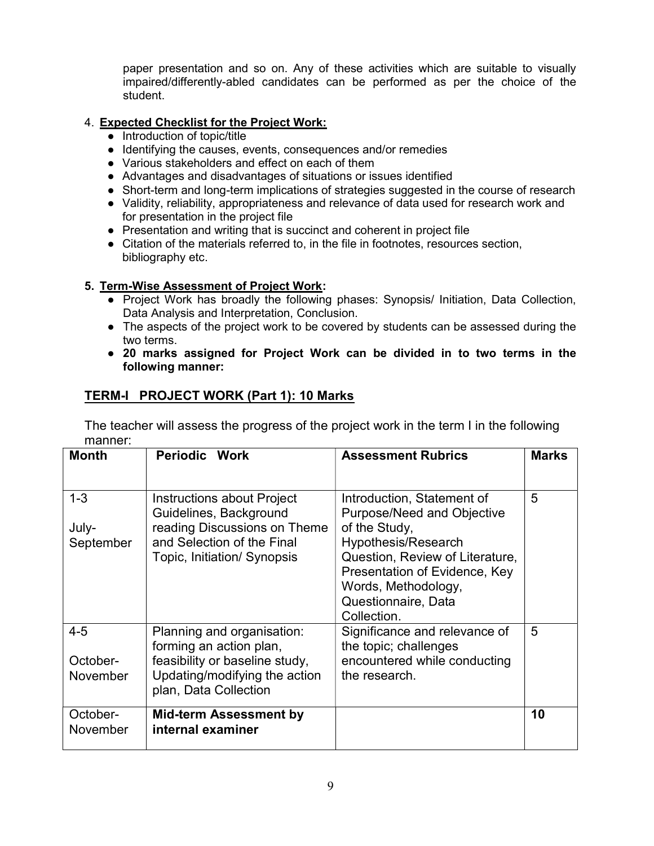paper presentation and so on. Any of these activities which are suitable to visually impaired/differently-abled candidates can be performed as per the choice of the student.

## 4. Expected Checklist for the Project Work:

- Introduction of topic/title
- Identifying the causes, events, consequences and/or remedies
- Various stakeholders and effect on each of them
- Advantages and disadvantages of situations or issues identified
- Short-term and long-term implications of strategies suggested in the course of research
- Validity, reliability, appropriateness and relevance of data used for research work and for presentation in the project file
- Presentation and writing that is succinct and coherent in project file
- Citation of the materials referred to, in the file in footnotes, resources section, bibliography etc.

## 5. Term-Wise Assessment of Project Work:

- Project Work has broadly the following phases: Synopsis/ Initiation, Data Collection, Data Analysis and Interpretation, Conclusion.
- The aspects of the project work to be covered by students can be assessed during the two terms.
- 20 marks assigned for Project Work can be divided in to two terms in the following manner:

## TERM-I PROJECT WORK (Part 1): 10 Marks

The teacher will assess the progress of the project work in the term I in the following manner:

| <b>Month</b>                    | Periodic Work                                                                                                                                     | <b>Assessment Rubrics</b>                                                                                                                                                                                                                | <b>Marks</b> |
|---------------------------------|---------------------------------------------------------------------------------------------------------------------------------------------------|------------------------------------------------------------------------------------------------------------------------------------------------------------------------------------------------------------------------------------------|--------------|
| $1 - 3$<br>July-<br>September   | Instructions about Project<br>Guidelines, Background<br>reading Discussions on Theme<br>and Selection of the Final<br>Topic, Initiation/ Synopsis | Introduction, Statement of<br><b>Purpose/Need and Objective</b><br>of the Study,<br>Hypothesis/Research<br>Question, Review of Literature,<br>Presentation of Evidence, Key<br>Words, Methodology,<br>Questionnaire, Data<br>Collection. | 5            |
| $4 - 5$<br>October-<br>November | Planning and organisation:<br>forming an action plan,<br>feasibility or baseline study,<br>Updating/modifying the action<br>plan, Data Collection | Significance and relevance of<br>the topic; challenges<br>encountered while conducting<br>the research.                                                                                                                                  | 5            |
| October-<br>November            | <b>Mid-term Assessment by</b><br>internal examiner                                                                                                |                                                                                                                                                                                                                                          | 10           |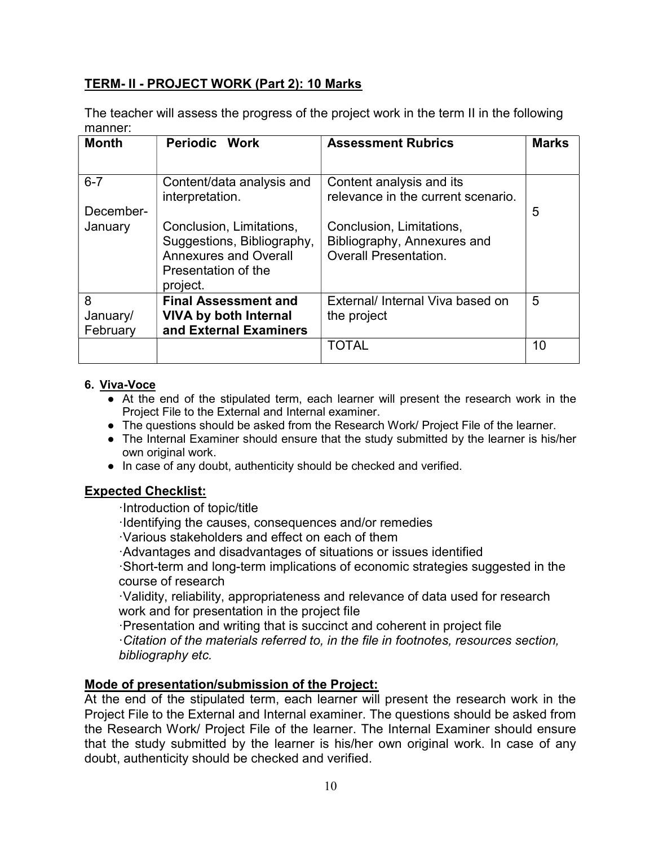## TERM- II - PROJECT WORK (Part 2): 10 Marks

The teacher will assess the progress of the project work in the term II in the following manner:

| <b>Month</b> | Periodic Work                | <b>Assessment Rubrics</b>                                      | <b>Marks</b> |
|--------------|------------------------------|----------------------------------------------------------------|--------------|
|              |                              |                                                                |              |
| $6 - 7$      | Content/data analysis and    | Content analysis and its<br>relevance in the current scenario. |              |
| December-    | interpretation.              |                                                                | 5            |
| January      | Conclusion, Limitations,     | Conclusion, Limitations,                                       |              |
|              | Suggestions, Bibliography,   | Bibliography, Annexures and                                    |              |
|              | <b>Annexures and Overall</b> | <b>Overall Presentation.</b>                                   |              |
|              | Presentation of the          |                                                                |              |
|              | project.                     |                                                                |              |
| 8            | <b>Final Assessment and</b>  | External/ Internal Viva based on                               | 5            |
| January/     | <b>VIVA by both Internal</b> | the project                                                    |              |
| February     | and External Examiners       |                                                                |              |
|              |                              | TOTAL                                                          | 10           |
|              |                              |                                                                |              |

## 6. Viva-Voce

- At the end of the stipulated term, each learner will present the research work in the Project File to the External and Internal examiner.
- The questions should be asked from the Research Work/ Project File of the learner.
- The Internal Examiner should ensure that the study submitted by the learner is his/her own original work.
- In case of any doubt, authenticity should be checked and verified.

## Expected Checklist:

·Introduction of topic/title

- ·Identifying the causes, consequences and/or remedies
- ·Various stakeholders and effect on each of them
- ·Advantages and disadvantages of situations or issues identified

·Short-term and long-term implications of economic strategies suggested in the course of research

·Validity, reliability, appropriateness and relevance of data used for research work and for presentation in the project file

·Presentation and writing that is succinct and coherent in project file

·Citation of the materials referred to, in the file in footnotes, resources section, bibliography etc.

## Mode of presentation/submission of the Project:

At the end of the stipulated term, each learner will present the research work in the Project File to the External and Internal examiner. The questions should be asked from the Research Work/ Project File of the learner. The Internal Examiner should ensure that the study submitted by the learner is his/her own original work. In case of any doubt, authenticity should be checked and verified.